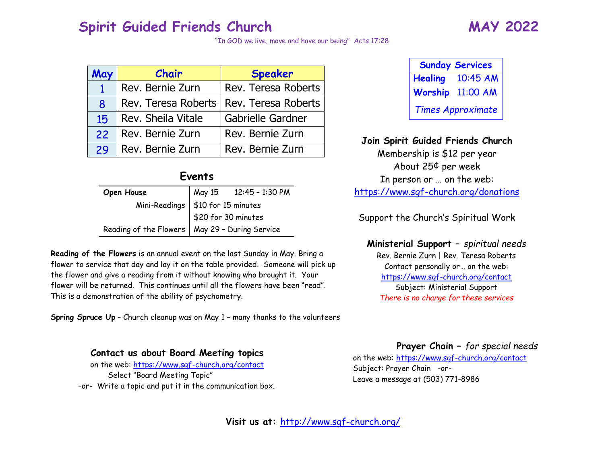#### **Spirit Guided Friends Church MAY 2022**

"In GOD we live, move and have our being" Acts 17:28

| May          | Chair               | Speaker             |
|--------------|---------------------|---------------------|
| $\mathbf{1}$ | Rev. Bernie Zurn    | Rev. Teresa Roberts |
| 8            | Rev. Teresa Roberts | Rev. Teresa Roberts |
| 15           | Rev. Sheila Vitale  | Gabrielle Gardner   |
| 22           | Rev. Bernie Zurn    | Rev. Bernie Zurn    |
| 29           | Rev. Bernie Zurn    | Rev. Bernie Zurn    |

#### **Events**

| Open House | May 15 12:45 - 1:30 PM                                                                                     |
|------------|------------------------------------------------------------------------------------------------------------|
|            |                                                                                                            |
|            |                                                                                                            |
|            | Mini-Readings \$10 for 15 minutes<br>\$20 for 30 minutes<br>Reading of the Flowers May 29 - During Service |

**Reading of the Flowers** is an annual event on the last Sunday in May. Bring a flower to service that day and lay it on the table provided. Someone will pick up the flower and give a reading from it without knowing who brought it. Your flower will be returned. This continues until all the flowers have been "read". This is a demonstration of the ability of psychometry.

**Spring Spruce Up** – Church cleanup was on May 1 – many thanks to the volunteers

**Contact us about Board Meeting topics** 

on the web:<https://www.sgf-church.org/contact> Select "Board Meeting Topic" –or- Write a topic and put it in the communication box.

| <b>Sunday Services</b>   |          |  |
|--------------------------|----------|--|
| <b>Healing</b>           | 10:45 AM |  |
| Worship                  | 11:00 AM |  |
| <b>Times Approximate</b> |          |  |

#### **Join Spirit Guided Friends Church**

Membership is \$12 per year About 25¢ per week In person or … on the web: <https://www.sgf-church.org/donations>

Support the Church's Spiritual Work

**Ministerial Support –** *spiritual needs* Rev. Bernie Zurn | Rev. Teresa Roberts Contact personally or… on the web: <https://www.sgf-church.org/contact> Subject: Ministerial Support *There is no charge for these services*

**Prayer Chain –** *for special needs*

on the web:<https://www.sgf-church.org/contact> Subject: Prayer Chain -or-Leave a message at (503) 771-8986

**Visit us at:** <http://www.sgf-church.org/>